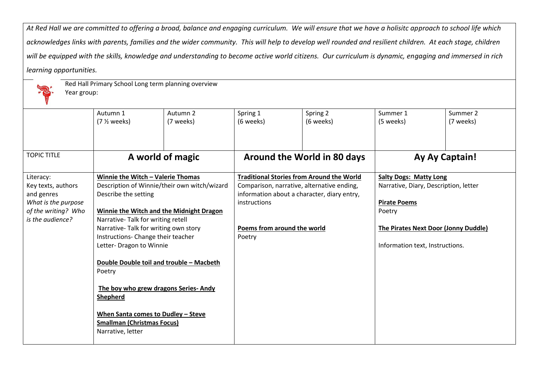*At Red Hall we are committed to offering a broad, balance and engaging curriculum. We will ensure that we have a holisitc approach to school life which*  acknowledges links with parents, families and the wider community. This will help to develop well rounded and resilient children. At each stage, children *will be equipped with the skills, knowledge and understanding to become active world citizens. Our curriculum is dynamic, engaging and immersed in rich learning opportunities.*



Red Hall Primary School Long term planning overview

Year group:

|                     | Autumn 1                                     | Autumn 2  | Spring 1                                         | Spring 2                    | Summer 1                              | Summer 2       |
|---------------------|----------------------------------------------|-----------|--------------------------------------------------|-----------------------------|---------------------------------------|----------------|
|                     | $(7 \frac{1}{2} weeks)$                      | (7 weeks) | (6 weeks)                                        | (6 weeks)                   | (5 weeks)                             | (7 weeks)      |
|                     |                                              |           |                                                  |                             |                                       |                |
|                     |                                              |           |                                                  |                             |                                       |                |
| <b>TOPIC TITLE</b>  |                                              |           |                                                  | Around the World in 80 days |                                       | Ay Ay Captain! |
|                     | A world of magic                             |           |                                                  |                             |                                       |                |
| Literacy:           | Winnie the Witch - Valerie Thomas            |           | <b>Traditional Stories from Around the World</b> |                             | <b>Salty Dogs: Matty Long</b>         |                |
| Key texts, authors  | Description of Winnie/their own witch/wizard |           | Comparison, narrative, alternative ending,       |                             | Narrative, Diary, Description, letter |                |
| and genres          | Describe the setting                         |           | information about a character, diary entry,      |                             |                                       |                |
| What is the purpose |                                              |           | instructions                                     |                             | <b>Pirate Poems</b>                   |                |
| of the writing? Who | Winnie the Witch and the Midnight Dragon     |           |                                                  |                             | Poetry                                |                |
| is the audience?    | Narrative-Talk for writing retell            |           |                                                  |                             |                                       |                |
|                     | Narrative-Talk for writing own story         |           | Poems from around the world                      |                             | The Pirates Next Door (Jonny Duddle)  |                |
|                     | Instructions- Change their teacher           |           | Poetry                                           |                             |                                       |                |
|                     | Letter- Dragon to Winnie                     |           |                                                  |                             | Information text, Instructions.       |                |
|                     |                                              |           |                                                  |                             |                                       |                |
|                     | Double Double toil and trouble - Macbeth     |           |                                                  |                             |                                       |                |
|                     | Poetry                                       |           |                                                  |                             |                                       |                |
|                     | The boy who grew dragons Series-Andy         |           |                                                  |                             |                                       |                |
|                     | <b>Shepherd</b>                              |           |                                                  |                             |                                       |                |
|                     |                                              |           |                                                  |                             |                                       |                |
|                     | When Santa comes to Dudley - Steve           |           |                                                  |                             |                                       |                |
|                     | <b>Smallman (Christmas Focus)</b>            |           |                                                  |                             |                                       |                |
|                     | Narrative, letter                            |           |                                                  |                             |                                       |                |
|                     |                                              |           |                                                  |                             |                                       |                |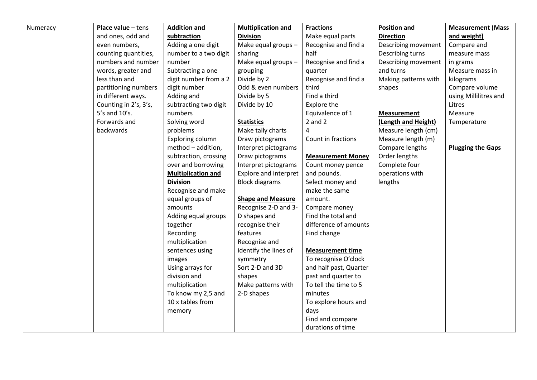| Numeracy | Place value - tens    | <b>Addition and</b>       | <b>Multiplication and</b>    | <b>Fractions</b>         | <b>Position and</b>  | <b>Measurement (Mass</b> |
|----------|-----------------------|---------------------------|------------------------------|--------------------------|----------------------|--------------------------|
|          | and ones, odd and     | subtraction               | <b>Division</b>              | Make equal parts         | <b>Direction</b>     | and weight)              |
|          | even numbers,         | Adding a one digit        | Make equal groups -          | Recognise and find a     | Describing movement  | Compare and              |
|          | counting quantities,  | number to a two digit     | sharing                      | half                     | Describing turns     | measure mass             |
|          | numbers and number    | number                    | Make equal groups $-$        | Recognise and find a     | Describing movement  | in grams                 |
|          | words, greater and    | Subtracting a one         | grouping                     | quarter                  | and turns            | Measure mass in          |
|          | less than and         | digit number from a 2     | Divide by 2                  | Recognise and find a     | Making patterns with | kilograms                |
|          | partitioning numbers  | digit number              | Odd & even numbers           | third                    | shapes               | Compare volume           |
|          | in different ways.    | Adding and                | Divide by 5                  | Find a third             |                      | using Millilitres and    |
|          | Counting in 2's, 3's, | subtracting two digit     | Divide by 10                 | Explore the              |                      | Litres                   |
|          | 5's and 10's.         | numbers                   |                              | Equivalence of 1         | <b>Measurement</b>   | Measure                  |
|          | Forwards and          | Solving word              | <b>Statistics</b>            | $2$ and $2$              | (Length and Height)  | Temperature              |
|          | backwards             | problems                  | Make tally charts            | 4                        | Measure length (cm)  |                          |
|          |                       | Exploring column          | Draw pictograms              | Count in fractions       | Measure length (m)   |                          |
|          |                       | method - addition,        | Interpret pictograms         |                          | Compare lengths      | <b>Plugging the Gaps</b> |
|          |                       | subtraction, crossing     | Draw pictograms              | <b>Measurement Money</b> | Order lengths        |                          |
|          |                       | over and borrowing        | Interpret pictograms         | Count money pence        | Complete four        |                          |
|          |                       | <b>Multiplication and</b> | <b>Explore and interpret</b> | and pounds.              | operations with      |                          |
|          |                       | <b>Division</b>           | <b>Block diagrams</b>        | Select money and         | lengths              |                          |
|          |                       | Recognise and make        |                              | make the same            |                      |                          |
|          |                       | equal groups of           | <b>Shape and Measure</b>     | amount.                  |                      |                          |
|          |                       | amounts                   | Recognise 2-D and 3-         | Compare money            |                      |                          |
|          |                       | Adding equal groups       | D shapes and                 | Find the total and       |                      |                          |
|          |                       | together                  | recognise their              | difference of amounts    |                      |                          |
|          |                       | Recording                 | features                     | Find change              |                      |                          |
|          |                       | multiplication            | Recognise and                |                          |                      |                          |
|          |                       | sentences using           | identify the lines of        | <b>Measurement time</b>  |                      |                          |
|          |                       | images                    | symmetry                     | To recognise O'clock     |                      |                          |
|          |                       | Using arrays for          | Sort 2-D and 3D              | and half past, Quarter   |                      |                          |
|          |                       | division and              | shapes                       | past and quarter to      |                      |                          |
|          |                       | multiplication            | Make patterns with           | To tell the time to 5    |                      |                          |
|          |                       | To know my 2,5 and        | 2-D shapes                   | minutes                  |                      |                          |
|          |                       | 10 x tables from          |                              | To explore hours and     |                      |                          |
|          |                       | memory                    |                              | days                     |                      |                          |
|          |                       |                           |                              | Find and compare         |                      |                          |
|          |                       |                           |                              | durations of time        |                      |                          |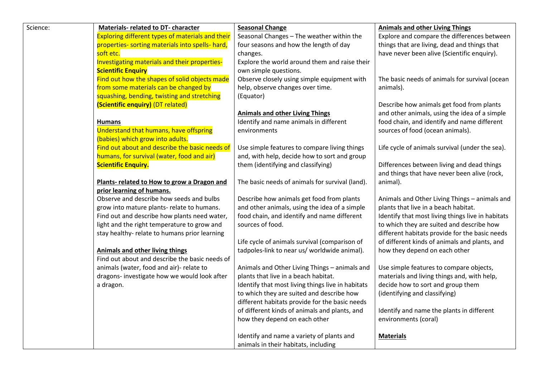| Science: | <b>Materials- related to DT- character</b>              | <b>Seasonal Change</b>                            | <b>Animals and other Living Things</b>                            |
|----------|---------------------------------------------------------|---------------------------------------------------|-------------------------------------------------------------------|
|          | <b>Exploring different types of materials and their</b> | Seasonal Changes - The weather within the         | Explore and compare the differences between                       |
|          | properties- sorting materials into spells- hard,        | four seasons and how the length of day            | things that are living, dead and things that                      |
|          | soft etc.                                               | changes.                                          | have never been alive (Scientific enquiry).                       |
|          | Investigating materials and their properties-           | Explore the world around them and raise their     |                                                                   |
|          | <b>Scientific Enquiry</b>                               | own simple questions.                             |                                                                   |
|          | Find out how the shapes of solid objects made           | Observe closely using simple equipment with       | The basic needs of animals for survival (ocean                    |
|          | from some materials can be changed by                   | help, observe changes over time.                  | animals).                                                         |
|          | squashing, bending, twisting and stretching             | (Equator)                                         |                                                                   |
|          | (Scientific enquiry) (DT related)                       |                                                   | Describe how animals get food from plants                         |
|          |                                                         | <b>Animals and other Living Things</b>            | and other animals, using the idea of a simple                     |
|          | <b>Humans</b>                                           | Identify and name animals in different            | food chain, and identify and name different                       |
|          | Understand that humans, have offspring                  | environments                                      | sources of food (ocean animals).                                  |
|          | (babies) which grow into adults.                        |                                                   |                                                                   |
|          | Find out about and describe the basic needs of          | Use simple features to compare living things      | Life cycle of animals survival (under the sea).                   |
|          | humans, for survival (water, food and air)              | and, with help, decide how to sort and group      |                                                                   |
|          | <b>Scientific Enquiry.</b>                              | them (identifying and classifying)                | Differences between living and dead things                        |
|          |                                                         |                                                   | and things that have never been alive (rock,                      |
|          | Plants- related to How to grow a Dragon and             | The basic needs of animals for survival (land).   | animal).                                                          |
|          | prior learning of humans.                               |                                                   |                                                                   |
|          | Observe and describe how seeds and bulbs                | Describe how animals get food from plants         | Animals and Other Living Things - animals and                     |
|          | grow into mature plants- relate to humans.              | and other animals, using the idea of a simple     | plants that live in a beach habitat.                              |
|          | Find out and describe how plants need water,            | food chain, and identify and name different       | Identify that most living things live in habitats                 |
|          | light and the right temperature to grow and             | sources of food.                                  | to which they are suited and describe how                         |
|          | stay healthy-relate to humans prior learning            |                                                   | different habitats provide for the basic needs                    |
|          |                                                         | Life cycle of animals survival (comparison of     | of different kinds of animals and plants, and                     |
|          | <b>Animals and other living things</b>                  | tadpoles-link to near us/ worldwide animal).      | how they depend on each other                                     |
|          | Find out about and describe the basic needs of          |                                                   |                                                                   |
|          | animals (water, food and air)- relate to                | Animals and Other Living Things - animals and     | Use simple features to compare objects,                           |
|          | dragons- investigate how we would look after            | plants that live in a beach habitat.              | materials and living things and, with help,                       |
|          | a dragon.                                               | Identify that most living things live in habitats | decide how to sort and group them                                 |
|          |                                                         | to which they are suited and describe how         | (identifying and classifying)                                     |
|          |                                                         | different habitats provide for the basic needs    |                                                                   |
|          |                                                         | of different kinds of animals and plants, and     | Identify and name the plants in different<br>environments (coral) |
|          |                                                         | how they depend on each other                     |                                                                   |
|          |                                                         | Identify and name a variety of plants and         | <b>Materials</b>                                                  |
|          |                                                         | animals in their habitats, including              |                                                                   |
|          |                                                         |                                                   |                                                                   |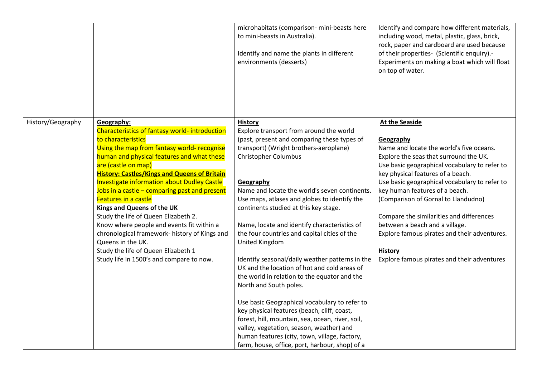|                   |                                                                                                                                                                                                                                                                                                                                                                                                                                                                                                                                                                                                                                                                                 | microhabitats (comparison- mini-beasts here<br>to mini-beasts in Australia).<br>Identify and name the plants in different<br>environments (desserts)                                                                                                                                                                                                                                                                                                                                                                                                                                                                                                                                                                                                                                                                                                                                                                                       | Identify and compare how different materials,<br>including wood, metal, plastic, glass, brick,<br>rock, paper and cardboard are used because<br>of their properties- (Scientific enquiry) .-<br>Experiments on making a boat which will float<br>on top of water.                                                                                                                                                                                                                                                                       |
|-------------------|---------------------------------------------------------------------------------------------------------------------------------------------------------------------------------------------------------------------------------------------------------------------------------------------------------------------------------------------------------------------------------------------------------------------------------------------------------------------------------------------------------------------------------------------------------------------------------------------------------------------------------------------------------------------------------|--------------------------------------------------------------------------------------------------------------------------------------------------------------------------------------------------------------------------------------------------------------------------------------------------------------------------------------------------------------------------------------------------------------------------------------------------------------------------------------------------------------------------------------------------------------------------------------------------------------------------------------------------------------------------------------------------------------------------------------------------------------------------------------------------------------------------------------------------------------------------------------------------------------------------------------------|-----------------------------------------------------------------------------------------------------------------------------------------------------------------------------------------------------------------------------------------------------------------------------------------------------------------------------------------------------------------------------------------------------------------------------------------------------------------------------------------------------------------------------------------|
| History/Geography | Geography:<br>Characteristics of fantasy world- introduction<br>to characteristics<br>Using the map from fantasy world- recognise<br>human and physical features and what these<br>are (castle on map)<br><b>History: Castles/Kings and Queens of Britain</b><br><b>Investigate information about Dudley Castle</b><br>Jobs in a castle - comparing past and present<br>Features in a castle<br><b>Kings and Queens of the UK</b><br>Study the life of Queen Elizabeth 2.<br>Know where people and events fit within a<br>chronological framework- history of Kings and<br>Queens in the UK.<br>Study the life of Queen Elizabeth 1<br>Study life in 1500's and compare to now. | <b>History</b><br>Explore transport from around the world<br>(past, present and comparing these types of<br>transport) (Wright brothers-aeroplane)<br><b>Christopher Columbus</b><br>Geography<br>Name and locate the world's seven continents.<br>Use maps, atlases and globes to identify the<br>continents studied at this key stage.<br>Name, locate and identify characteristics of<br>the four countries and capital cities of the<br>United Kingdom<br>Identify seasonal/daily weather patterns in the<br>UK and the location of hot and cold areas of<br>the world in relation to the equator and the<br>North and South poles.<br>Use basic Geographical vocabulary to refer to<br>key physical features (beach, cliff, coast,<br>forest, hill, mountain, sea, ocean, river, soil,<br>valley, vegetation, season, weather) and<br>human features (city, town, village, factory,<br>farm, house, office, port, harbour, shop) of a | <b>At the Seaside</b><br>Geography<br>Name and locate the world's five oceans.<br>Explore the seas that surround the UK.<br>Use basic geographical vocabulary to refer to<br>key physical features of a beach.<br>Use basic geographical vocabulary to refer to<br>key human features of a beach.<br>(Comparison of Gornal to Llandudno)<br>Compare the similarities and differences<br>between a beach and a village.<br>Explore famous pirates and their adventures.<br><b>History</b><br>Explore famous pirates and their adventures |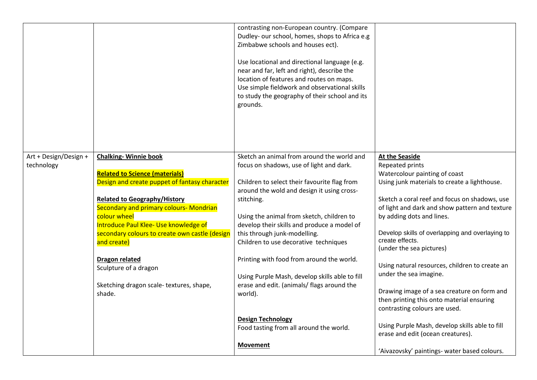|                                     |                                                                                                                                                                                                                                                                                                                                          | contrasting non-European country. (Compare<br>Dudley- our school, homes, shops to Africa e.g<br>Zimbabwe schools and houses ect).<br>Use locational and directional language (e.g.<br>near and far, left and right), describe the<br>location of features and routes on maps.<br>Use simple fieldwork and observational skills<br>to study the geography of their school and its<br>grounds. |                                                                                                                                                                                                                                                                                                                                                             |
|-------------------------------------|------------------------------------------------------------------------------------------------------------------------------------------------------------------------------------------------------------------------------------------------------------------------------------------------------------------------------------------|----------------------------------------------------------------------------------------------------------------------------------------------------------------------------------------------------------------------------------------------------------------------------------------------------------------------------------------------------------------------------------------------|-------------------------------------------------------------------------------------------------------------------------------------------------------------------------------------------------------------------------------------------------------------------------------------------------------------------------------------------------------------|
| Art + Design/Design +<br>technology | <b>Chalking-Winnie book</b><br><b>Related to Science (materials)</b><br>Design and create puppet of fantasy character<br><b>Related to Geography/History</b><br><b>Secondary and primary colours- Mondrian</b><br>colour wheel<br>Introduce Paul Klee- Use knowledge of<br>secondary colours to create own castle (design<br>and create) | Sketch an animal from around the world and<br>focus on shadows, use of light and dark.<br>Children to select their favourite flag from<br>around the wold and design it using cross-<br>stitching.<br>Using the animal from sketch, children to<br>develop their skills and produce a model of<br>this through junk-modelling.<br>Children to use decorative techniques                      | <b>At the Seaside</b><br>Repeated prints<br>Watercolour painting of coast<br>Using junk materials to create a lighthouse.<br>Sketch a coral reef and focus on shadows, use<br>of light and dark and show pattern and texture<br>by adding dots and lines.<br>Develop skills of overlapping and overlaying to<br>create effects.<br>(under the sea pictures) |
|                                     | <b>Dragon related</b><br>Sculpture of a dragon<br>Sketching dragon scale-textures, shape,<br>shade.                                                                                                                                                                                                                                      | Printing with food from around the world.<br>Using Purple Mash, develop skills able to fill<br>erase and edit. (animals/ flags around the<br>world).<br><b>Design Technology</b>                                                                                                                                                                                                             | Using natural resources, children to create an<br>under the sea imagine.<br>Drawing image of a sea creature on form and<br>then printing this onto material ensuring<br>contrasting colours are used.                                                                                                                                                       |
|                                     |                                                                                                                                                                                                                                                                                                                                          | Food tasting from all around the world.<br><b>Movement</b>                                                                                                                                                                                                                                                                                                                                   | Using Purple Mash, develop skills able to fill<br>erase and edit (ocean creatures).<br>'Aivazovsky' paintings- water based colours.                                                                                                                                                                                                                         |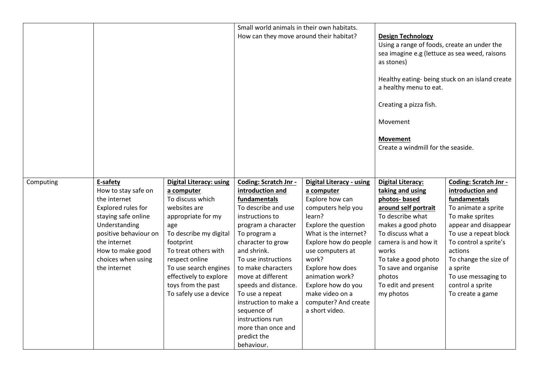|           |                                                                                                                                                                                                                  |                                                                                                                                                                                                                                                                                                   | Small world animals in their own habitats.<br>How can they move around their habitat?                                                                                                                                                                                                                                                                                                                      |                                                                                                                                                                                                                                                                                                                                   | <b>Design Technology</b><br>Using a range of foods, create an under the<br>sea imagine e.g (lettuce as sea weed, raisons<br>as stones)<br>Healthy eating- being stuck on an island create<br>a healthy menu to eat.<br>Creating a pizza fish.<br>Movement<br><b>Movement</b><br>Create a windmill for the seaside. |                                                                                                                                                                                                                                                                                              |
|-----------|------------------------------------------------------------------------------------------------------------------------------------------------------------------------------------------------------------------|---------------------------------------------------------------------------------------------------------------------------------------------------------------------------------------------------------------------------------------------------------------------------------------------------|------------------------------------------------------------------------------------------------------------------------------------------------------------------------------------------------------------------------------------------------------------------------------------------------------------------------------------------------------------------------------------------------------------|-----------------------------------------------------------------------------------------------------------------------------------------------------------------------------------------------------------------------------------------------------------------------------------------------------------------------------------|--------------------------------------------------------------------------------------------------------------------------------------------------------------------------------------------------------------------------------------------------------------------------------------------------------------------|----------------------------------------------------------------------------------------------------------------------------------------------------------------------------------------------------------------------------------------------------------------------------------------------|
| Computing | E-safety<br>How to stay safe on<br>the internet<br>Explored rules for<br>staying safe online<br>Understanding<br>positive behaviour on<br>the internet<br>How to make good<br>choices when using<br>the internet | <b>Digital Literacy: using</b><br>a computer<br>To discuss which<br>websites are<br>appropriate for my<br>age<br>To describe my digital<br>footprint<br>To treat others with<br>respect online<br>To use search engines<br>effectively to explore<br>toys from the past<br>To safely use a device | Coding: Scratch Jnr -<br>introduction and<br>fundamentals<br>To describe and use<br>instructions to<br>program a character<br>To program a<br>character to grow<br>and shrink.<br>To use instructions<br>to make characters<br>move at different<br>speeds and distance.<br>To use a repeat<br>instruction to make a<br>sequence of<br>instructions run<br>more than once and<br>predict the<br>behaviour. | <b>Digital Literacy - using</b><br>a computer<br>Explore how can<br>computers help you<br>learn?<br>Explore the question<br>What is the internet?<br>Explore how do people<br>use computers at<br>work?<br>Explore how does<br>animation work?<br>Explore how do you<br>make video on a<br>computer? And create<br>a short video. | <b>Digital Literacy:</b><br>taking and using<br>photos-based<br>around self portrait<br>To describe what<br>makes a good photo<br>To discuss what a<br>camera is and how it<br>works<br>To take a good photo<br>To save and organise<br>photos<br>To edit and present<br>my photos                                 | Coding: Scratch Jnr -<br>introduction and<br>fundamentals<br>To animate a sprite<br>To make sprites<br>appear and disappear<br>To use a repeat block<br>To control a sprite's<br>actions<br>To change the size of<br>a sprite<br>To use messaging to<br>control a sprite<br>To create a game |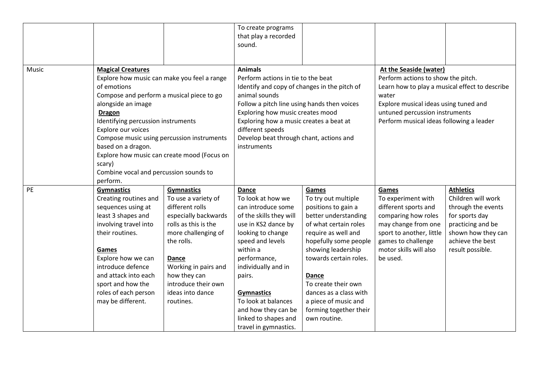|       |                                                  |                      | To create programs                           |                        |                                                |                    |
|-------|--------------------------------------------------|----------------------|----------------------------------------------|------------------------|------------------------------------------------|--------------------|
|       |                                                  |                      | that play a recorded                         |                        |                                                |                    |
|       |                                                  |                      | sound.                                       |                        |                                                |                    |
|       |                                                  |                      |                                              |                        |                                                |                    |
|       |                                                  |                      |                                              |                        |                                                |                    |
| Music | <b>Magical Creatures</b>                         |                      | <b>Animals</b>                               |                        | <b>At the Seaside (water)</b>                  |                    |
|       | Explore how music can make you feel a range      |                      | Perform actions in tie to the beat           |                        | Perform actions to show the pitch.             |                    |
|       | of emotions                                      |                      | Identify and copy of changes in the pitch of |                        | Learn how to play a musical effect to describe |                    |
|       | Compose and perform a musical piece to go        |                      | animal sounds                                |                        | water                                          |                    |
|       | alongside an image                               |                      | Follow a pitch line using hands then voices  |                        | Explore musical ideas using tuned and          |                    |
|       | <b>Dragon</b>                                    |                      | Exploring how music creates mood             |                        | untuned percussion instruments                 |                    |
|       | Identifying percussion instruments               |                      | Exploring how a music creates a beat at      |                        | Perform musical ideas following a leader       |                    |
|       | Explore our voices                               |                      | different speeds                             |                        |                                                |                    |
|       | Compose music using percussion instruments       |                      | Develop beat through chant, actions and      |                        |                                                |                    |
|       | based on a dragon.                               |                      | instruments                                  |                        |                                                |                    |
|       | Explore how music can create mood (Focus on      |                      |                                              |                        |                                                |                    |
|       | scary)<br>Combine vocal and percussion sounds to |                      |                                              |                        |                                                |                    |
|       |                                                  |                      |                                              |                        |                                                |                    |
|       | perform.                                         |                      |                                              |                        |                                                |                    |
| PE    | <b>Gymnastics</b>                                | <b>Gymnastics</b>    | Dance                                        | Games                  | Games                                          | <b>Athletics</b>   |
|       | Creating routines and                            | To use a variety of  | To look at how we                            | To try out multiple    | To experiment with                             | Children will work |
|       | sequences using at                               | different rolls      | can introduce some                           | positions to gain a    | different sports and                           | through the events |
|       | least 3 shapes and                               | especially backwards | of the skills they will                      | better understanding   | comparing how roles                            | for sports day     |
|       | involving travel into                            | rolls as this is the | use in KS2 dance by                          | of what certain roles  | may change from one                            | practicing and be  |
|       | their routines.                                  | more challenging of  | looking to change                            | require as well and    | sport to another, little                       | shown how they can |
|       |                                                  | the rolls.           | speed and levels                             | hopefully some people  | games to challenge                             | achieve the best   |
|       | Games                                            |                      | within a                                     | showing leadership     | motor skills will also                         | result possible.   |
|       | Explore how we can                               | <b>Dance</b>         | performance,                                 | towards certain roles. | be used.                                       |                    |
|       | introduce defence                                | Working in pairs and | individually and in                          |                        |                                                |                    |
|       | and attack into each                             | how they can         | pairs.                                       | Dance                  |                                                |                    |
|       | sport and how the                                | introduce their own  |                                              | To create their own    |                                                |                    |
|       | roles of each person                             | ideas into dance     | <b>Gymnastics</b>                            | dances as a class with |                                                |                    |
|       | may be different.                                | routines.            | To look at balances                          | a piece of music and   |                                                |                    |
|       |                                                  |                      | and how they can be                          | forming together their |                                                |                    |
|       |                                                  |                      | linked to shapes and                         | own routine.           |                                                |                    |
|       |                                                  |                      | travel in gymnastics.                        |                        |                                                |                    |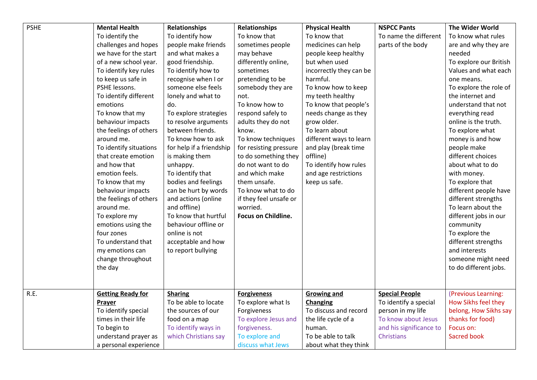| <b>PSHE</b><br><b>Mental Health</b><br><b>Relationships</b><br>Relationships<br><b>Physical Health</b><br>To identify the<br>To identify how<br>To know that<br>To know that<br>To name the different<br>To know what rules<br>challenges and hopes<br>people make friends<br>sometimes people<br>medicines can help<br>parts of the body<br>are and why they are<br>we have for the start<br>may behave<br>and what makes a<br>people keep healthy<br>needed<br>but when used<br>of a new school year.<br>good friendship.<br>differently online,<br>To explore our British |  |
|------------------------------------------------------------------------------------------------------------------------------------------------------------------------------------------------------------------------------------------------------------------------------------------------------------------------------------------------------------------------------------------------------------------------------------------------------------------------------------------------------------------------------------------------------------------------------|--|
|                                                                                                                                                                                                                                                                                                                                                                                                                                                                                                                                                                              |  |
|                                                                                                                                                                                                                                                                                                                                                                                                                                                                                                                                                                              |  |
|                                                                                                                                                                                                                                                                                                                                                                                                                                                                                                                                                                              |  |
|                                                                                                                                                                                                                                                                                                                                                                                                                                                                                                                                                                              |  |
| To identify key rules<br>incorrectly they can be<br>Values and what each<br>To identify how to<br>sometimes                                                                                                                                                                                                                                                                                                                                                                                                                                                                  |  |
| to keep us safe in<br>harmful.<br>recognise when I or<br>pretending to be<br>one means.                                                                                                                                                                                                                                                                                                                                                                                                                                                                                      |  |
| PSHE lessons.<br>someone else feels<br>somebody they are<br>To know how to keep<br>To explore the role of                                                                                                                                                                                                                                                                                                                                                                                                                                                                    |  |
| To identify different<br>lonely and what to<br>my teeth healthy<br>the internet and<br>not.                                                                                                                                                                                                                                                                                                                                                                                                                                                                                  |  |
| To know how to<br>To know that people's<br>understand that not<br>emotions<br>do.                                                                                                                                                                                                                                                                                                                                                                                                                                                                                            |  |
| To know that my<br>respond safely to<br>everything read<br>To explore strategies<br>needs change as they                                                                                                                                                                                                                                                                                                                                                                                                                                                                     |  |
| to resolve arguments<br>adults they do not<br>grow older.<br>online is the truth.<br>behaviour impacts                                                                                                                                                                                                                                                                                                                                                                                                                                                                       |  |
| between friends.<br>To learn about<br>the feelings of others<br>To explore what<br>know.                                                                                                                                                                                                                                                                                                                                                                                                                                                                                     |  |
| around me.<br>To know how to ask<br>To know techniques<br>different ways to learn<br>money is and how                                                                                                                                                                                                                                                                                                                                                                                                                                                                        |  |
| To identify situations<br>for help if a friendship<br>and play (break time<br>people make<br>for resisting pressure                                                                                                                                                                                                                                                                                                                                                                                                                                                          |  |
| different choices<br>is making them<br>to do something they<br>offline)<br>that create emotion                                                                                                                                                                                                                                                                                                                                                                                                                                                                               |  |
| and how that<br>do not want to do<br>To identify how rules<br>about what to do<br>unhappy.                                                                                                                                                                                                                                                                                                                                                                                                                                                                                   |  |
| emotion feels.<br>To identify that<br>and which make<br>and age restrictions<br>with money.                                                                                                                                                                                                                                                                                                                                                                                                                                                                                  |  |
| bodies and feelings<br>To know that my<br>them unsafe.<br>keep us safe.<br>To explore that                                                                                                                                                                                                                                                                                                                                                                                                                                                                                   |  |
| can be hurt by words<br>To know what to do<br>different people have<br>behaviour impacts                                                                                                                                                                                                                                                                                                                                                                                                                                                                                     |  |
| different strengths<br>the feelings of others<br>and actions (online<br>if they feel unsafe or                                                                                                                                                                                                                                                                                                                                                                                                                                                                               |  |
| and offline)<br>around me.<br>worried.<br>To learn about the                                                                                                                                                                                                                                                                                                                                                                                                                                                                                                                 |  |
| Focus on Childline.<br>To know that hurtful<br>different jobs in our<br>To explore my                                                                                                                                                                                                                                                                                                                                                                                                                                                                                        |  |
| behaviour offline or<br>emotions using the<br>community                                                                                                                                                                                                                                                                                                                                                                                                                                                                                                                      |  |
| four zones<br>online is not<br>To explore the                                                                                                                                                                                                                                                                                                                                                                                                                                                                                                                                |  |
| acceptable and how<br>different strengths<br>To understand that                                                                                                                                                                                                                                                                                                                                                                                                                                                                                                              |  |
| my emotions can<br>to report bullying<br>and interests                                                                                                                                                                                                                                                                                                                                                                                                                                                                                                                       |  |
| someone might need<br>change throughout                                                                                                                                                                                                                                                                                                                                                                                                                                                                                                                                      |  |
| to do different jobs.<br>the day                                                                                                                                                                                                                                                                                                                                                                                                                                                                                                                                             |  |
|                                                                                                                                                                                                                                                                                                                                                                                                                                                                                                                                                                              |  |
| R.E.<br><b>Special People</b><br>(Previous Learning:<br><b>Sharing</b>                                                                                                                                                                                                                                                                                                                                                                                                                                                                                                       |  |
| <b>Getting Ready for</b><br><b>Forgiveness</b><br><b>Growing and</b><br>To be able to locate<br>How Sikhs feel they<br>To explore what Is<br>To identify a special<br>Prayer<br>Changing                                                                                                                                                                                                                                                                                                                                                                                     |  |
| person in my life<br>belong, How Sikhs say<br>To identify special<br>the sources of our<br>Forgiveness<br>To discuss and record                                                                                                                                                                                                                                                                                                                                                                                                                                              |  |
| To know about Jesus<br>times in their life<br>food on a map<br>the life cycle of a<br>thanks for food)<br>To explore Jesus and                                                                                                                                                                                                                                                                                                                                                                                                                                               |  |
| and his significance to<br>To begin to<br>To identify ways in<br>forgiveness.<br>human.<br>Focus on:                                                                                                                                                                                                                                                                                                                                                                                                                                                                         |  |
| which Christians say<br>To explore and<br>To be able to talk<br><b>Christians</b><br><b>Sacred book</b><br>understand prayer as                                                                                                                                                                                                                                                                                                                                                                                                                                              |  |
| discuss what Jews<br>a personal experience<br>about what they think                                                                                                                                                                                                                                                                                                                                                                                                                                                                                                          |  |